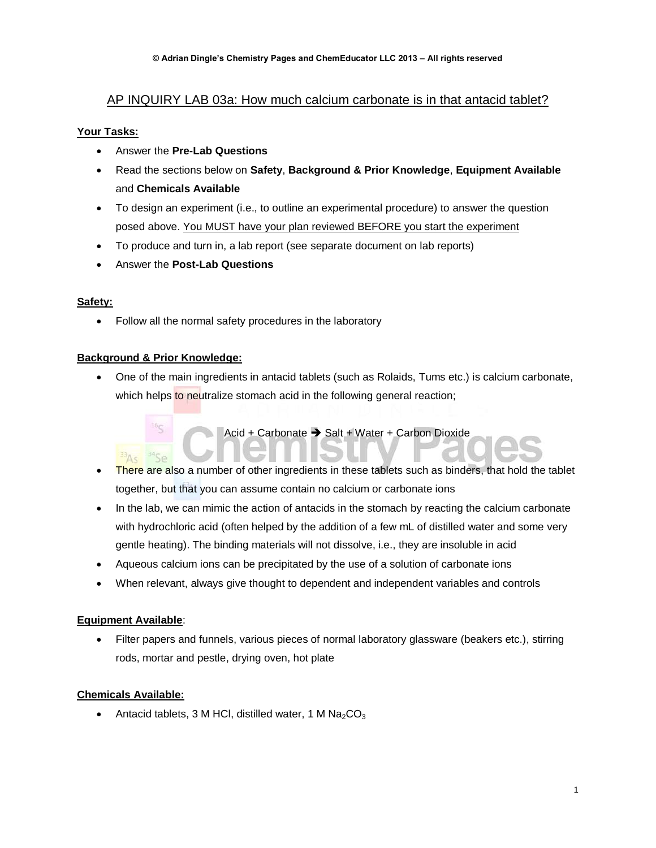# AP INQUIRY LAB 03a: How much calcium carbonate is in that antacid tablet?

# **Your Tasks:**

- Answer the **Pre-Lab Questions**
- Read the sections below on **Safety**, **Background & Prior Knowledge**, **Equipment Available** and **Chemicals Available**
- To design an experiment (i.e., to outline an experimental procedure) to answer the question posed above. You MUST have your plan reviewed BEFORE you start the experiment
- To produce and turn in, a lab report (see separate document on lab reports)
- Answer the **Post-Lab Questions**

### **Safety:**

• Follow all the normal safety procedures in the laboratory

### **Background & Prior Knowledge:**

 One of the main ingredients in antacid tablets (such as Rolaids, Tums etc.) is calcium carbonate, which helps to neutralize stomach acid in the following general reaction;

Acid + Carbonate  $\rightarrow$  Salt + Water + Carbon Dioxide

 There are also a number of other ingredients in these tablets such as binders, that hold the tablet together, but that you can assume contain no calcium or carbonate ions

- In the lab, we can mimic the action of antacids in the stomach by reacting the calcium carbonate with hydrochloric acid (often helped by the addition of a few mL of distilled water and some very gentle heating). The binding materials will not dissolve, i.e., they are insoluble in acid
- Aqueous calcium ions can be precipitated by the use of a solution of carbonate ions
- When relevant, always give thought to dependent and independent variables and controls

### **Equipment Available**:

• Filter papers and funnels, various pieces of normal laboratory glassware (beakers etc.), stirring rods, mortar and pestle, drying oven, hot plate

### **Chemicals Available:**

Antacid tablets, 3 M HCl, distilled water, 1 M  $Na<sub>2</sub>CO<sub>3</sub>$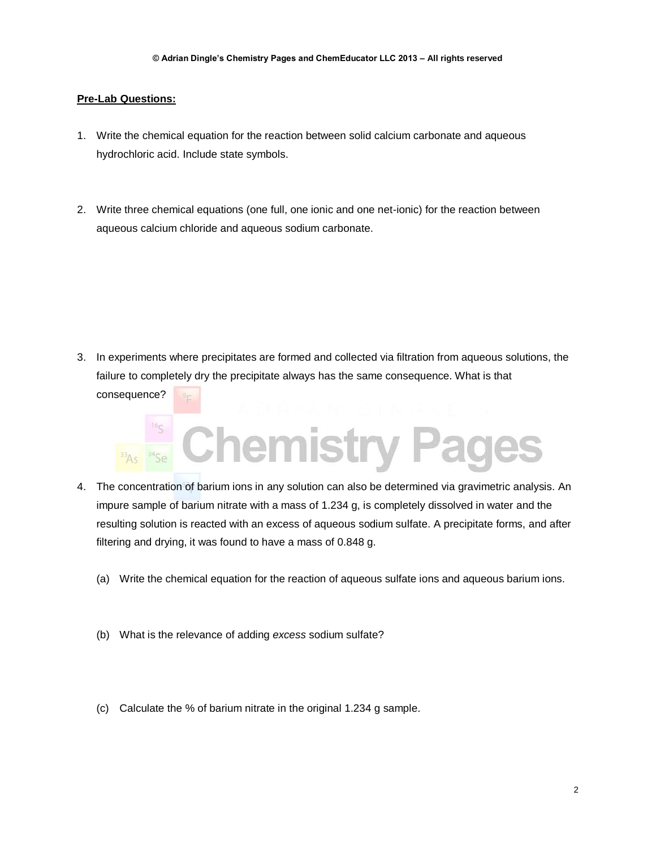#### **Pre-Lab Questions:**

- 1. Write the chemical equation for the reaction between solid calcium carbonate and aqueous hydrochloric acid. Include state symbols.
- 2. Write three chemical equations (one full, one ionic and one net-ionic) for the reaction between aqueous calcium chloride and aqueous sodium carbonate.

3. In experiments where precipitates are formed and collected via filtration from aqueous solutions, the failure to completely dry the precipitate always has the same consequence. What is that consequence?



- 4. The concentration of barium ions in any solution can also be determined via gravimetric analysis. An impure sample of barium nitrate with a mass of 1.234 g, is completely dissolved in water and the resulting solution is reacted with an excess of aqueous sodium sulfate. A precipitate forms, and after filtering and drying, it was found to have a mass of 0.848 g.
	- (a) Write the chemical equation for the reaction of aqueous sulfate ions and aqueous barium ions.
	- (b) What is the relevance of adding *excess* sodium sulfate?
	- (c) Calculate the % of barium nitrate in the original 1.234 g sample.